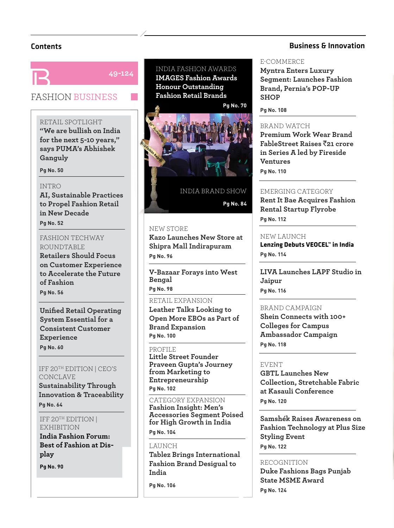**49-124**

# FASHION BUSINESS

RETAIL SPOTLIGHT **"We are bullish on India for the next 5-10 years," says PUMA's Abhishek Ganguly**

**Pg No. 50** 

#### INTRO

**Pg** No. 52

**AI, Sustainable Practices to Propel Fashion Retail in New Decade Pa No. 52** 

FASHION TECHWAY ROUNDTABLE

**Retailers Should Focus on Customer Experience to Accelerate the Future of Fashion Pa No. 56 Pg No. 56**

**Unified Retail Operating System Essential for a Consistent Customer Experience Pg No. 60**

IFF 20TH EDITION | CEO'S CONCLAVE **Sustainability Through Innovation & Traceability**

IFF 20TH EDITION | **EXHIBITION** 

**India Fashion Forum: Best of Fashion at Display**

**Pa No. 90 Pg No. 90**

**Pg No. 64**

INDIA FASHION AWARDS **IMAGES Fashion Awards Honour Outstanding Fashion Retail Brands**



INDIA BRAND SHOW **Pg No. 84**

# NEW STORE S

**Kazo Launches New Store at L Shipra Mall Indirapuram Pg No. 96**

**V-Bazaar Forays into West Bengal Pa No. 98** 

**Pg No. 98** RETAIL EXPANSION **Leather Talks Looking to Open More EBOs as Part of Brand Expansion Pg** No. 100

#### PROFILE

**Little Street Founder Praveen Gupta's Journey from Marketing to Entrepreneurship** Pa No. 102 **Pg No. 102**

CATEGORY EXPANSION **Fashion Insight: Men's Accessories Segment Poised for High Growth in India** Pa No. 104

LAUNCH **Tablez Brings International Fashion Brand Desigual to India**

**Pg No. 106**

**Pg No. 104**

# Contents Business & Innovation

#### E-COMMERCE

**Myntra Enters Luxury Segment: Launches Fashion Brand, Pernia's POP-UP SHOP** 

**Pg No. 108**

**Pg No. 110**

## BRAND WATCH

**Premium Work Wear Brand FableStreet Raises** `**21 crore in Series A led by Fireside Ventures Pa No. 110** 

EMERGING CATEGORY

**Rent It Bae Acquires Fashion Rental Startup Flyrobe Pg** No. 122

#### NEW LAUNCH

**Lenzing Debuts VEOCEL™ in India Pg No. 114**

**LIVA Launches LAPF Studio in Jaipur**

BRAND CAMPAIGN

**Shein Connects with 100+ Colleges for Campus Ambassador Campaign Pg No. 118**

#### EVENT

**Pg No. 116**

**GBTL Launches New Collection, Stretchable Fabric at Kasauli Conference Pa No. 120 Pg No. 120**

**Samshék Raises Awareness on Fashion Technology at Plus Size Styling Event Pa No. 122 Pg No. 122**

# RECOGNITION

**Duke Fashions Bags Punjab State MSME Award** Pa No. 124 **Pg No. 124**